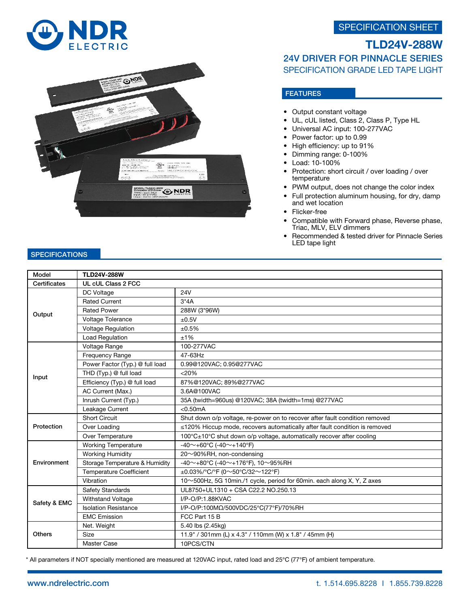## SPECIFICATION SHEET





# TLD24V-288W 24V DRIVER FOR PINNACLE SERIES SPECIFICATION GRADE LED TAPE LIGHT

## FEATURES

- Output constant voltage
- UL, cUL listed, Class 2, Class P, Type HL
- Universal AC input: 100-277VAC
- Power factor: up to 0.99
- High efficiency: up to 91%
- Dimming range: 0-100%
- Load: 10-100%
- Protection: short circuit / over loading / over temperature
- PWM output, does not change the color index
- Full protection aluminum housing, for dry, damp and wet location
- Flicker-free
- Compatible with Forward phase, Reverse phase, Triac, MLV, ELV dimmers
- Recommended & tested driver for Pinnacle Series LED tape light

### **SPECIFICATIONS**

| Model         | <b>TLD24V-288W</b>              |                                                                             |
|---------------|---------------------------------|-----------------------------------------------------------------------------|
| Certificates  | UL cUL Class 2 FCC              |                                                                             |
| Output        | DC Voltage                      | <b>24V</b>                                                                  |
|               | <b>Rated Current</b>            | $3*4A$                                                                      |
|               | <b>Rated Power</b>              | 288W (3*96W)                                                                |
|               | Voltage Tolerance               | ±0.5V                                                                       |
|               | <b>Voltage Regulation</b>       | ±0.5%                                                                       |
|               | Load Regulation                 | ±1%                                                                         |
| Input         | Voltage Range                   | 100-277VAC                                                                  |
|               | Frequency Range                 | 47-63Hz                                                                     |
|               | Power Factor (Typ.) @ full load | 0.99@120VAC; 0.95@277VAC                                                    |
|               | THD (Typ.) @ full load          | $<$ 20%                                                                     |
|               | Efficiency (Typ.) @ full load   | 87%@120VAC; 89%@277VAC                                                      |
|               | AC Current (Max.)               | 3.6A@100VAC                                                                 |
|               | Inrush Current (Typ.)           | 35A (twidth=960us) @120VAC; 38A (twidth=1ms) @277VAC                        |
|               | Leakage Current                 | $<$ 0.50 $mA$                                                               |
| Protection    | <b>Short Circuit</b>            | Shut down o/p voltage, re-power on to recover after fault condition removed |
|               | Over Loading                    | ≤120% Hiccup mode, recovers automatically after fault condition is removed  |
|               | Over Temperature                | 100°C±10°C shut down o/p voltage, automatically recover after cooling       |
| Environment   | <b>Working Temperature</b>      | -40~+60°C (-40~+140°F)                                                      |
|               | <b>Working Humidity</b>         | 20~90%RH, non-condensing                                                    |
|               | Storage Temperature & Humidity  | -40~+80°C (-40~+176°F), 10~95%RH                                            |
|               | <b>Temperature Coefficient</b>  | $\pm 0.03\%$ /°C/°F (0~50°C/32~122°F)                                       |
|               | Vibration                       | 10~500Hz, 5G 10min./1 cycle, period for 60min. each along X, Y, Z axes      |
| Safety & EMC  | Safety Standards                | UL8750+UL1310 + CSA C22.2 NO.250.13                                         |
|               | Withstand Voltage               | I/P-O/P:1.88KVAC                                                            |
|               | <b>Isolation Resistance</b>     | I/P-O/P:100MΩ/500VDC/25°C(77°F)/70%RH                                       |
|               | <b>EMC Emission</b>             | FCC Part 15 B                                                               |
| <b>Others</b> | Net. Weight                     | 5.40 lbs (2.45kg)                                                           |
|               | Size                            | 11.9" / 301mm (L) x 4.3" / 110mm (W) x 1.8" / 45mm (H)                      |
|               | Master Case                     | 10PCS/CTN                                                                   |

\* All parameters if NOT specially mentioned are measured at 120VAC input, rated load and 25℃ (77℉) of ambient temperature.